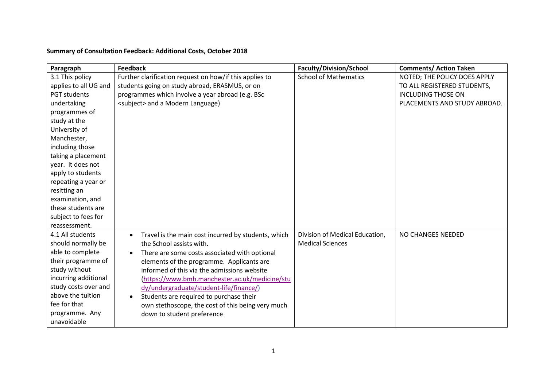## **Summary of Consultation Feedback: Additional Costs, October 2018**

| Paragraph             | <b>Feedback</b>                                                  | <b>Faculty/Division/School</b> | <b>Comments/ Action Taken</b> |
|-----------------------|------------------------------------------------------------------|--------------------------------|-------------------------------|
| 3.1 This policy       | Further clarification request on how/if this applies to          | <b>School of Mathematics</b>   | NOTED; THE POLICY DOES APPLY  |
| applies to all UG and | students going on study abroad, ERASMUS, or on                   |                                | TO ALL REGISTERED STUDENTS,   |
| <b>PGT students</b>   | programmes which involve a year abroad (e.g. BSc                 |                                | <b>INCLUDING THOSE ON</b>     |
| undertaking           | <subject> and a Modern Language)</subject>                       |                                | PLACEMENTS AND STUDY ABROAD.  |
| programmes of         |                                                                  |                                |                               |
| study at the          |                                                                  |                                |                               |
| University of         |                                                                  |                                |                               |
| Manchester,           |                                                                  |                                |                               |
| including those       |                                                                  |                                |                               |
| taking a placement    |                                                                  |                                |                               |
| year. It does not     |                                                                  |                                |                               |
| apply to students     |                                                                  |                                |                               |
| repeating a year or   |                                                                  |                                |                               |
| resitting an          |                                                                  |                                |                               |
| examination, and      |                                                                  |                                |                               |
| these students are    |                                                                  |                                |                               |
| subject to fees for   |                                                                  |                                |                               |
| reassessment.         |                                                                  |                                |                               |
| 4.1 All students      | Travel is the main cost incurred by students, which<br>$\bullet$ | Division of Medical Education, | NO CHANGES NEEDED             |
| should normally be    | the School assists with.                                         | <b>Medical Sciences</b>        |                               |
| able to complete      | There are some costs associated with optional<br>$\bullet$       |                                |                               |
| their programme of    | elements of the programme. Applicants are                        |                                |                               |
| study without         | informed of this via the admissions website                      |                                |                               |
| incurring additional  | (https://www.bmh.manchester.ac.uk/medicine/stu                   |                                |                               |
| study costs over and  | dy/undergraduate/student-life/finance/)                          |                                |                               |
| above the tuition     | Students are required to purchase their                          |                                |                               |
| fee for that          | own stethoscope, the cost of this being very much                |                                |                               |
| programme. Any        | down to student preference                                       |                                |                               |
| unavoidable           |                                                                  |                                |                               |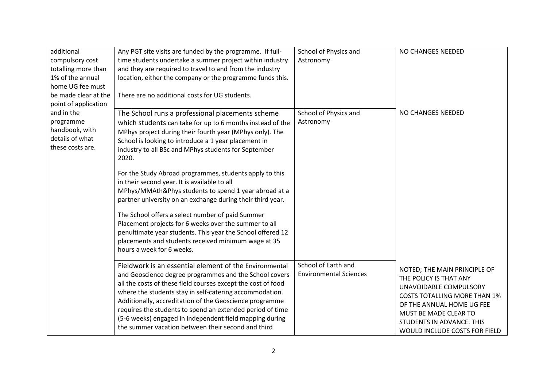| additional<br>compulsory cost<br>totalling more than<br>1% of the annual<br>home UG fee must<br>be made clear at the<br>point of application | Any PGT site visits are funded by the programme. If full-<br>time students undertake a summer project within industry<br>and they are required to travel to and from the industry<br>location, either the company or the programme funds this.<br>There are no additional costs for UG students.                                                                                                                                                                                                                                                                                                                                                                                                                                                                                                    | School of Physics and<br>Astronomy                   | NO CHANGES NEEDED                                                                                                                                                                                                                           |
|----------------------------------------------------------------------------------------------------------------------------------------------|-----------------------------------------------------------------------------------------------------------------------------------------------------------------------------------------------------------------------------------------------------------------------------------------------------------------------------------------------------------------------------------------------------------------------------------------------------------------------------------------------------------------------------------------------------------------------------------------------------------------------------------------------------------------------------------------------------------------------------------------------------------------------------------------------------|------------------------------------------------------|---------------------------------------------------------------------------------------------------------------------------------------------------------------------------------------------------------------------------------------------|
| and in the<br>programme<br>handbook, with<br>details of what<br>these costs are.                                                             | The School runs a professional placements scheme<br>which students can take for up to 6 months instead of the<br>MPhys project during their fourth year (MPhys only). The<br>School is looking to introduce a 1 year placement in<br>industry to all BSc and MPhys students for September<br>2020.<br>For the Study Abroad programmes, students apply to this<br>in their second year. It is available to all<br>MPhys/MMAth&Phys students to spend 1 year abroad at a<br>partner university on an exchange during their third year.<br>The School offers a select number of paid Summer<br>Placement projects for 6 weeks over the summer to all<br>penultimate year students. This year the School offered 12<br>placements and students received minimum wage at 35<br>hours a week for 6 weeks. | School of Physics and<br>Astronomy                   | NO CHANGES NEEDED                                                                                                                                                                                                                           |
|                                                                                                                                              | Fieldwork is an essential element of the Environmental<br>and Geoscience degree programmes and the School covers<br>all the costs of these field courses except the cost of food<br>where the students stay in self-catering accommodation.<br>Additionally, accreditation of the Geoscience programme<br>requires the students to spend an extended period of time<br>(5-6 weeks) engaged in independent field mapping during<br>the summer vacation between their second and third                                                                                                                                                                                                                                                                                                                | School of Earth and<br><b>Environmental Sciences</b> | NOTED; THE MAIN PRINCIPLE OF<br>THE POLICY IS THAT ANY<br>UNAVOIDABLE COMPULSORY<br><b>COSTS TOTALLING MORE THAN 1%</b><br>OF THE ANNUAL HOME UG FEE<br>MUST BE MADE CLEAR TO<br>STUDENTS IN ADVANCE. THIS<br>WOULD INCLUDE COSTS FOR FIELD |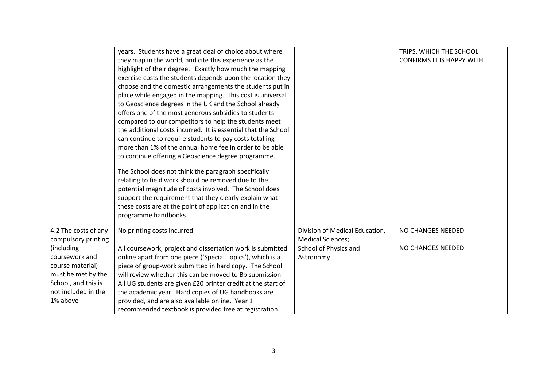|                      | years. Students have a great deal of choice about where        |                                | TRIPS, WHICH THE SCHOOL           |
|----------------------|----------------------------------------------------------------|--------------------------------|-----------------------------------|
|                      | they map in the world, and cite this experience as the         |                                | <b>CONFIRMS IT IS HAPPY WITH.</b> |
|                      | highlight of their degree. Exactly how much the mapping        |                                |                                   |
|                      | exercise costs the students depends upon the location they     |                                |                                   |
|                      | choose and the domestic arrangements the students put in       |                                |                                   |
|                      | place while engaged in the mapping. This cost is universal     |                                |                                   |
|                      | to Geoscience degrees in the UK and the School already         |                                |                                   |
|                      | offers one of the most generous subsidies to students          |                                |                                   |
|                      | compared to our competitors to help the students meet          |                                |                                   |
|                      | the additional costs incurred. It is essential that the School |                                |                                   |
|                      | can continue to require students to pay costs totalling        |                                |                                   |
|                      | more than 1% of the annual home fee in order to be able        |                                |                                   |
|                      | to continue offering a Geoscience degree programme.            |                                |                                   |
|                      | The School does not think the paragraph specifically           |                                |                                   |
|                      | relating to field work should be removed due to the            |                                |                                   |
|                      | potential magnitude of costs involved. The School does         |                                |                                   |
|                      | support the requirement that they clearly explain what         |                                |                                   |
|                      | these costs are at the point of application and in the         |                                |                                   |
|                      | programme handbooks.                                           |                                |                                   |
|                      |                                                                |                                |                                   |
| 4.2 The costs of any | No printing costs incurred                                     | Division of Medical Education, | NO CHANGES NEEDED                 |
| compulsory printing  |                                                                | <b>Medical Sciences;</b>       |                                   |
| (including           | All coursework, project and dissertation work is submitted     | School of Physics and          | NO CHANGES NEEDED                 |
| coursework and       | online apart from one piece ('Special Topics'), which is a     | Astronomy                      |                                   |
| course material)     | piece of group-work submitted in hard copy. The School         |                                |                                   |
| must be met by the   | will review whether this can be moved to Bb submission.        |                                |                                   |
| School, and this is  | All UG students are given £20 printer credit at the start of   |                                |                                   |
| not included in the  | the academic year. Hard copies of UG handbooks are             |                                |                                   |
| 1% above             | provided, and are also available online. Year 1                |                                |                                   |
|                      | recommended textbook is provided free at registration          |                                |                                   |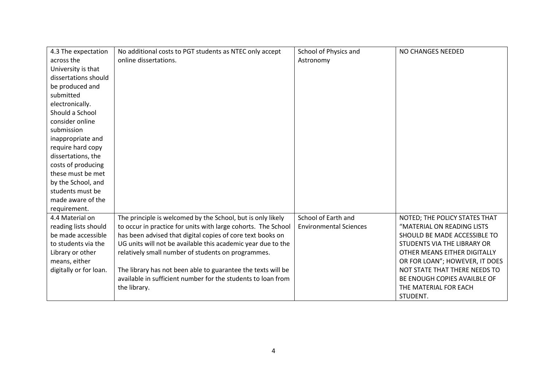| 4.3 The expectation    | No additional costs to PGT students as NTEC only accept       | School of Physics and         | NO CHANGES NEEDED              |
|------------------------|---------------------------------------------------------------|-------------------------------|--------------------------------|
| across the             | online dissertations.                                         | Astronomy                     |                                |
| University is that     |                                                               |                               |                                |
| dissertations should   |                                                               |                               |                                |
| be produced and        |                                                               |                               |                                |
| submitted              |                                                               |                               |                                |
| electronically.        |                                                               |                               |                                |
| Should a School        |                                                               |                               |                                |
| consider online        |                                                               |                               |                                |
| submission             |                                                               |                               |                                |
| inappropriate and      |                                                               |                               |                                |
| require hard copy      |                                                               |                               |                                |
| dissertations, the     |                                                               |                               |                                |
| costs of producing     |                                                               |                               |                                |
| these must be met      |                                                               |                               |                                |
| by the School, and     |                                                               |                               |                                |
| students must be       |                                                               |                               |                                |
| made aware of the      |                                                               |                               |                                |
| requirement.           |                                                               |                               |                                |
| 4.4 Material on        | The principle is welcomed by the School, but is only likely   | School of Earth and           | NOTED; THE POLICY STATES THAT  |
| reading lists should   | to occur in practice for units with large cohorts. The School | <b>Environmental Sciences</b> | "MATERIAL ON READING LISTS     |
| be made accessible     | has been advised that digital copies of core text books on    |                               | SHOULD BE MADE ACCESSIBLE TO   |
| to students via the    | UG units will not be available this academic year due to the  |                               | STUDENTS VIA THE LIBRARY OR    |
| Library or other       | relatively small number of students on programmes.            |                               | OTHER MEANS EITHER DIGITALLY   |
| means, either          |                                                               |                               | OR FOR LOAN"; HOWEVER, IT DOES |
| digitally or for loan. | The library has not been able to guarantee the texts will be  |                               | NOT STATE THAT THERE NEEDS TO  |
|                        | available in sufficient number for the students to loan from  |                               | BE ENOUGH COPIES AVAILBLE OF   |
|                        | the library.                                                  |                               | THE MATERIAL FOR EACH          |
|                        |                                                               |                               | STUDENT.                       |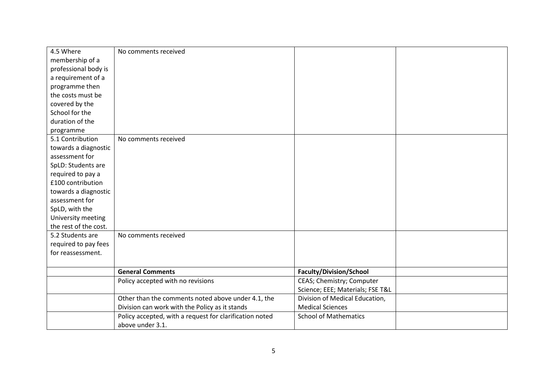| 4.5 Where             | No comments received                                    |                                  |  |
|-----------------------|---------------------------------------------------------|----------------------------------|--|
| membership of a       |                                                         |                                  |  |
| professional body is  |                                                         |                                  |  |
| a requirement of a    |                                                         |                                  |  |
| programme then        |                                                         |                                  |  |
| the costs must be     |                                                         |                                  |  |
| covered by the        |                                                         |                                  |  |
| School for the        |                                                         |                                  |  |
| duration of the       |                                                         |                                  |  |
| programme             |                                                         |                                  |  |
| 5.1 Contribution      | No comments received                                    |                                  |  |
| towards a diagnostic  |                                                         |                                  |  |
| assessment for        |                                                         |                                  |  |
| SpLD: Students are    |                                                         |                                  |  |
| required to pay a     |                                                         |                                  |  |
| £100 contribution     |                                                         |                                  |  |
| towards a diagnostic  |                                                         |                                  |  |
| assessment for        |                                                         |                                  |  |
| SpLD, with the        |                                                         |                                  |  |
| University meeting    |                                                         |                                  |  |
| the rest of the cost. |                                                         |                                  |  |
| 5.2 Students are      | No comments received                                    |                                  |  |
| required to pay fees  |                                                         |                                  |  |
| for reassessment.     |                                                         |                                  |  |
|                       |                                                         |                                  |  |
|                       | <b>General Comments</b>                                 | Faculty/Division/School          |  |
|                       | Policy accepted with no revisions                       | CEAS; Chemistry; Computer        |  |
|                       |                                                         | Science; EEE; Materials; FSE T&L |  |
|                       | Other than the comments noted above under 4.1, the      | Division of Medical Education,   |  |
|                       | Division can work with the Policy as it stands          | <b>Medical Sciences</b>          |  |
|                       | Policy accepted, with a request for clarification noted | <b>School of Mathematics</b>     |  |
|                       | above under 3.1.                                        |                                  |  |